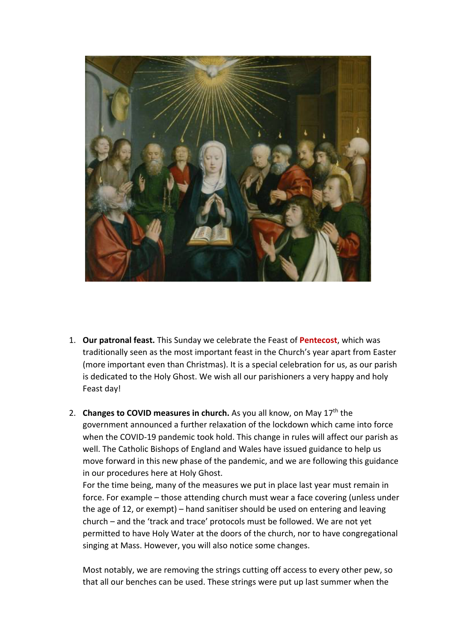

- 1. **Our patronal feast.** This Sunday we celebrate the Feast of **Pentecost**, which was traditionally seen as the most important feast in the Church's year apart from Easter (more important even than Christmas). It is a special celebration for us, as our parish is dedicated to the Holy Ghost. We wish all our parishioners a very happy and holy Feast day!
- 2. **Changes to COVID measures in church.** As you all know, on May 17<sup>th</sup> the government announced a further relaxation of the lockdown which came into force when the COVID-19 pandemic took hold. This change in rules will affect our parish as well. The Catholic Bishops of England and Wales have issued guidance to help us move forward in this new phase of the pandemic, and we are following this guidance in our procedures here at Holy Ghost.

For the time being, many of the measures we put in place last year must remain in force. For example – those attending church must wear a face covering (unless under the age of 12, or exempt) – hand sanitiser should be used on entering and leaving church – and the 'track and trace' protocols must be followed. We are not yet permitted to have Holy Water at the doors of the church, nor to have congregational singing at Mass. However, you will also notice some changes.

Most notably, we are removing the strings cutting off access to every other pew, so that all our benches can be used. These strings were put up last summer when the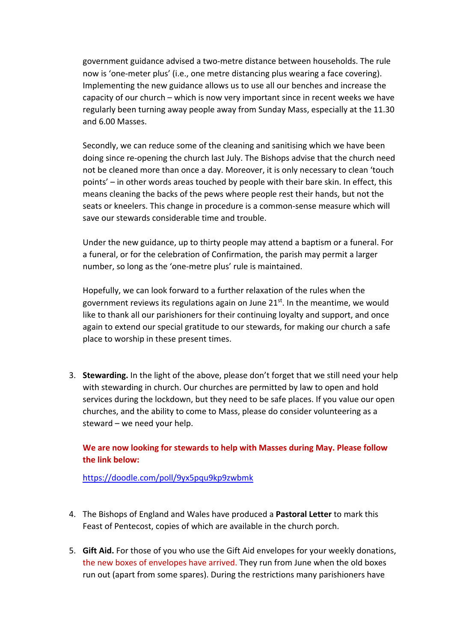government guidance advised a two-metre distance between households. The rule now is 'one-meter plus' (i.e., one metre distancing plus wearing a face covering). Implementing the new guidance allows us to use all our benches and increase the capacity of our church – which is now very important since in recent weeks we have regularly been turning away people away from Sunday Mass, especially at the 11.30 and 6.00 Masses.

Secondly, we can reduce some of the cleaning and sanitising which we have been doing since re-opening the church last July. The Bishops advise that the church need not be cleaned more than once a day. Moreover, it is only necessary to clean 'touch points' – in other words areas touched by people with their bare skin. In effect, this means cleaning the backs of the pews where people rest their hands, but not the seats or kneelers. This change in procedure is a common-sense measure which will save our stewards considerable time and trouble.

Under the new guidance, up to thirty people may attend a baptism or a funeral. For a funeral, or for the celebration of Confirmation, the parish may permit a larger number, so long as the 'one-metre plus' rule is maintained.

Hopefully, we can look forward to a further relaxation of the rules when the government reviews its regulations again on June  $21^{st}$ . In the meantime, we would like to thank all our parishioners for their continuing loyalty and support, and once again to extend our special gratitude to our stewards, for making our church a safe place to worship in these present times.

3. **Stewarding.** In the light of the above, please don't forget that we still need your help with stewarding in church. Our churches are permitted by law to open and hold services during the lockdown, but they need to be safe places. If you value our open churches, and the ability to come to Mass, please do consider volunteering as a steward – we need your help.

## **We are now looking for stewards to help with Masses during May. Please follow the link below:**

https://doodle.com/poll/9yx5pqu9kp9zwbmk

- 4. The Bishops of England and Wales have produced a **Pastoral Letter** to mark this Feast of Pentecost, copies of which are available in the church porch.
- 5. **Gift Aid.** For those of you who use the Gift Aid envelopes for your weekly donations, the new boxes of envelopes have arrived. They run from June when the old boxes run out (apart from some spares). During the restrictions many parishioners have